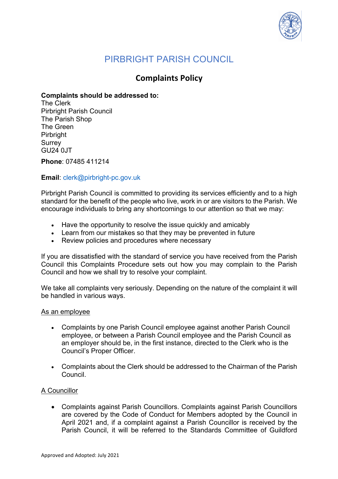

# PIRBRIGHT PARISH COUNCIL

## **Complaints Policy**

#### **Complaints should be addressed to:**

The Clerk Pirbright Parish Council The Parish Shop The Green Pirbright **Surrey** GU24 0JT

**Phone**: 07485 411214

### **Email**: clerk@pirbright-pc.gov.uk

Pirbright Parish Council is committed to providing its services efficiently and to a high standard for the benefit of the people who live, work in or are visitors to the Parish. We encourage individuals to bring any shortcomings to our attention so that we may:

- Have the opportunity to resolve the issue quickly and amicably
- Learn from our mistakes so that they may be prevented in future
- Review policies and procedures where necessary

If you are dissatisfied with the standard of service you have received from the Parish Council this Complaints Procedure sets out how you may complain to the Parish Council and how we shall try to resolve your complaint.

We take all complaints very seriously. Depending on the nature of the complaint it will be handled in various ways.

#### As an employee

- Complaints by one Parish Council employee against another Parish Council employee, or between a Parish Council employee and the Parish Council as an employer should be, in the first instance, directed to the Clerk who is the Council's Proper Officer.
- Complaints about the Clerk should be addressed to the Chairman of the Parish Council.

#### A Councillor

• Complaints against Parish Councillors. Complaints against Parish Councillors are covered by the Code of Conduct for Members adopted by the Council in April 2021 and, if a complaint against a Parish Councillor is received by the Parish Council, it will be referred to the Standards Committee of Guildford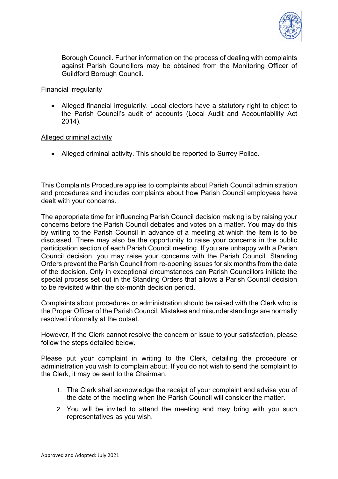

Borough Council. Further information on the process of dealing with complaints against Parish Councillors may be obtained from the Monitoring Officer of Guildford Borough Council.

#### Financial irregularity

• Alleged financial irregularity. Local electors have a statutory right to object to the Parish Council's audit of accounts (Local Audit and Accountability Act 2014).

#### Alleged criminal activity

• Alleged criminal activity. This should be reported to Surrey Police.

This Complaints Procedure applies to complaints about Parish Council administration and procedures and includes complaints about how Parish Council employees have dealt with your concerns.

The appropriate time for influencing Parish Council decision making is by raising your concerns before the Parish Council debates and votes on a matter. You may do this by writing to the Parish Council in advance of a meeting at which the item is to be discussed. There may also be the opportunity to raise your concerns in the public participation section of each Parish Council meeting. If you are unhappy with a Parish Council decision, you may raise your concerns with the Parish Council. Standing Orders prevent the Parish Council from re-opening issues for six months from the date of the decision. Only in exceptional circumstances can Parish Councillors initiate the special process set out in the Standing Orders that allows a Parish Council decision to be revisited within the six-month decision period.

Complaints about procedures or administration should be raised with the Clerk who is the Proper Officer of the Parish Council. Mistakes and misunderstandings are normally resolved informally at the outset.

However, if the Clerk cannot resolve the concern or issue to your satisfaction, please follow the steps detailed below.

Please put your complaint in writing to the Clerk, detailing the procedure or administration you wish to complain about. If you do not wish to send the complaint to the Clerk, it may be sent to the Chairman.

- 1. The Clerk shall acknowledge the receipt of your complaint and advise you of the date of the meeting when the Parish Council will consider the matter.
- 2. You will be invited to attend the meeting and may bring with you such representatives as you wish.